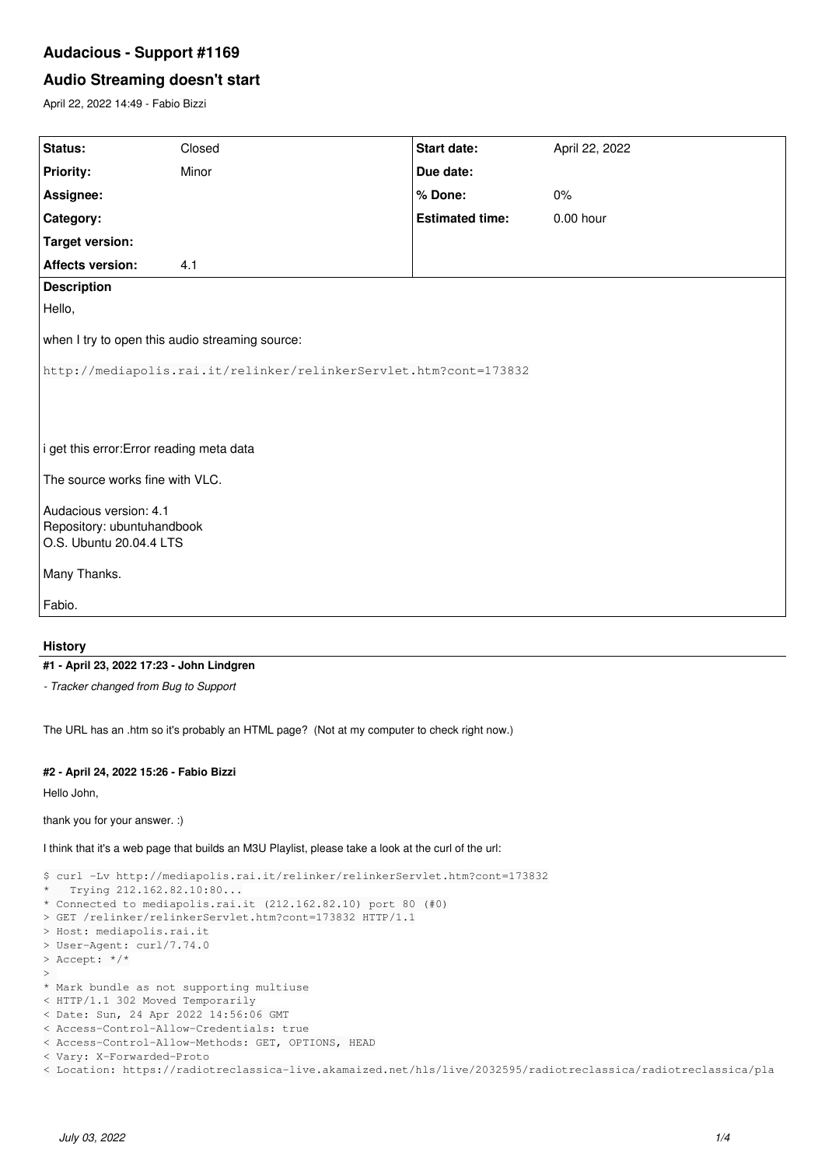# **Audacious - Support #1169**

## **Audio Streaming doesn't start**

April 22, 2022 14:49 - Fabio Bizzi

| Status:                                                                         | Closed | Start date:            | April 22, 2022 |
|---------------------------------------------------------------------------------|--------|------------------------|----------------|
| <b>Priority:</b>                                                                | Minor  | Due date:              |                |
| Assignee:                                                                       |        | % Done:                | 0%             |
| Category:                                                                       |        | <b>Estimated time:</b> | $0.00$ hour    |
| <b>Target version:</b>                                                          |        |                        |                |
| <b>Affects version:</b>                                                         | 4.1    |                        |                |
| <b>Description</b>                                                              |        |                        |                |
| Hello,                                                                          |        |                        |                |
| when I try to open this audio streaming source:                                 |        |                        |                |
| http://mediapolis.rai.it/relinker/relinkerServlet.htm?cont=173832               |        |                        |                |
| i get this error: Error reading meta data                                       |        |                        |                |
| The source works fine with VLC.                                                 |        |                        |                |
| Audacious version: 4.1<br>Repository: ubuntuhandbook<br>O.S. Ubuntu 20.04.4 LTS |        |                        |                |
| Many Thanks.                                                                    |        |                        |                |
| Fabio.                                                                          |        |                        |                |
|                                                                                 |        |                        |                |

## **History**

### **#1 - April 23, 2022 17:23 - John Lindgren**

*- Tracker changed from Bug to Support*

The URL has an .htm so it's probably an HTML page? (Not at my computer to check right now.)

### **#2 - April 24, 2022 15:26 - Fabio Bizzi**

Hello John,

thank you for your answer. :)

I think that it's a web page that builds an M3U Playlist, please take a look at the curl of the url:

```
$ curl -Lv http://mediapolis.rai.it/relinker/relinkerServlet.htm?cont=173832
  *   Trying 212.162.82.10:80...
* Connected to mediapolis.rai.it (212.162.82.10) port 80 (#0)
> GET /relinker/relinkerServlet.htm?cont=173832 HTTP/1.1
> Host: mediapolis.rai.it
> User-Agent: curl/7.74.0
> Accept: */*
>* Mark bundle as not supporting multiuse
< HTTP/1.1 302 Moved Temporarily
< Date: Sun, 24 Apr 2022 14:56:06 GMT
< Access-Control-Allow-Credentials: true
< Access-Control-Allow-Methods: GET, OPTIONS, HEAD
< Vary: X-Forwarded-Proto
< Location: https://radiotreclassica-live.akamaized.net/hls/live/2032595/radiotreclassica/radiotreclassica/pla
```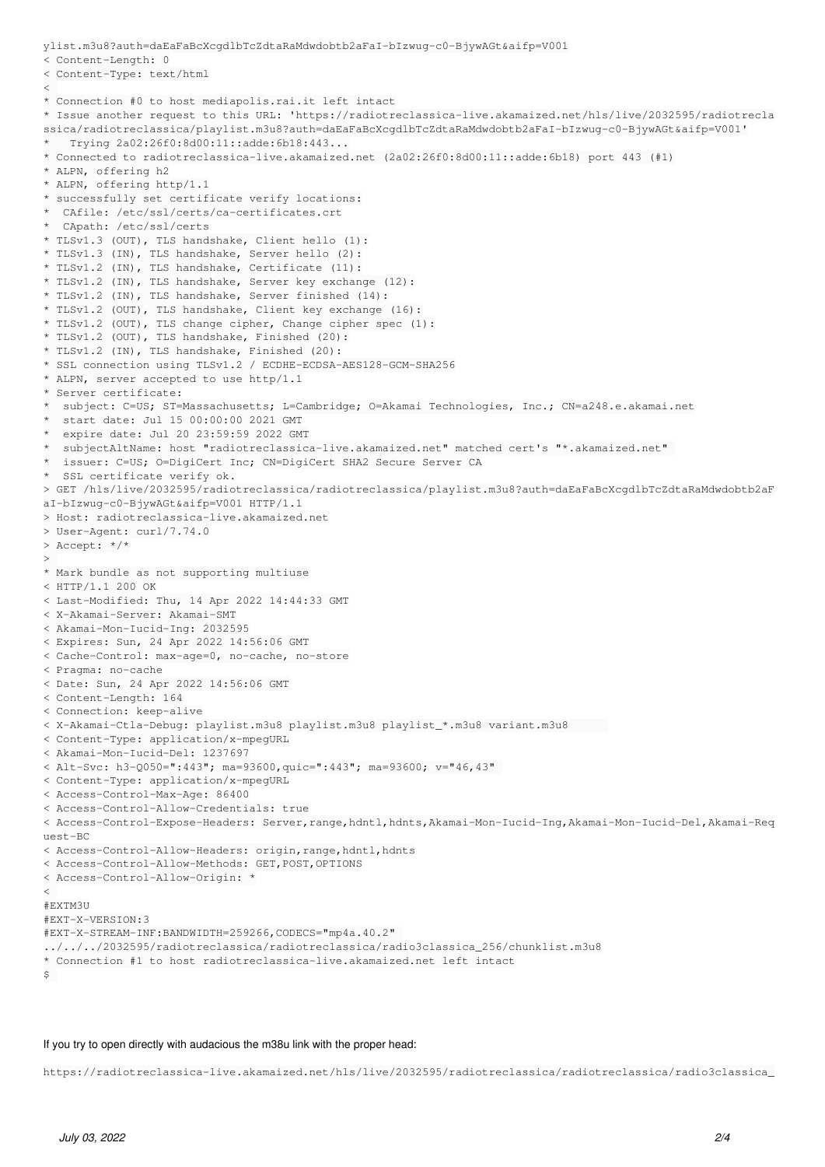```
ylist.m3u8?auth=daEaFaBcXcgdlbTcZdtaRaMdwdobtb2aFaI-bIzwug-c0-BjywAGt&aifp=V001
< Content-Length: 0
< Content-Type: text/html
\leq* Connection #0 to host mediapolis.rai.it left intact
* Issue another request to this URL: 'https://radiotreclassica-live.akamaized.net/hls/live/2032595/radiotrecla
ssica/radiotreclassica/playlist.m3u8?auth=daEaFaBcXcgdlbTcZdtaRaMdwdobtb2aFaI-bIzwug-c0-BjywAGt&aifp=V001'
   *   Trying 2a02:26f0:8d00:11::adde:6b18:443...
* Connected to radiotreclassica-live.akamaized.net (2a02:26f0:8d00:11::adde:6b18) port 443 (#1)
* ALPN, offering h2
* ALPN, offering http/1.1
* successfully set certificate verify locations:
*  CAfile: /etc/ssl/certs/ca-certificates.crt
  CApath: /etc/ssl/certs
* TLSv1.3 (OUT), TLS handshake, Client hello (1):
* TLSv1.3 (IN), TLS handshake, Server hello (2):
* TLSv1.2 (IN), TLS handshake, Certificate (11):
* TLSv1.2 (IN), TLS handshake, Server key exchange (12):
* TLSv1.2 (IN), TLS handshake, Server finished (14):
* TLSv1.2 (OUT), TLS handshake, Client key exchange (16):
* TLSv1.2 (OUT), TLS change cipher, Change cipher spec (1):
* TLSv1.2 (OUT), TLS handshake, Finished (20):
* TLSv1.2 (IN), TLS handshake, Finished (20):
* SSL connection using TLSv1.2 / ECDHE-ECDSA-AES128-GCM-SHA256
* ALPN, server accepted to use http/1.1
* Server certificate:
*  subject: C=US; ST=Massachusetts; L=Cambridge; O=Akamai Technologies, Inc.; CN=a248.e.akamai.net
  start date: Jul 15 00:00:00 2021 GMT
  expire date: Jul 20 23:59:59 2022 GMT
  *  subjectAltName: host "radiotreclassica-live.akamaized.net" matched cert's "*.akamaized.net" 
  issuer: C=US; O=DigiCert Inc; CN=DigiCert SHA2 Secure Server CA
*  SSL certificate verify ok.
> GET /hls/live/2032595/radiotreclassica/radiotreclassica/playlist.m3u8?auth=daEaFaBcXcgdlbTcZdtaRaMdwdobtb2aF
aI-bIzwug-c0-BjywAGt&aifp=V001 HTTP/1.1
> Host: radiotreclassica-live.akamaized.net
> User-Agent: curl/7.74.0
> Accept: */*
>* Mark bundle as not supporting multiuse
< HTTP/1.1 200 OK
< Last-Modified: Thu, 14 Apr 2022 14:44:33 GMT
< X-Akamai-Server: Akamai-SMT
< Akamai-Mon-Iucid-Ing: 2032595
< Expires: Sun, 24 Apr 2022 14:56:06 GMT
< Cache-Control: max-age=0, no-cache, no-store
< Pragma: no-cache
< Date: Sun, 24 Apr 2022 14:56:06 GMT
< Content-Length: 164
< Connection: keep-alive
< X-Akamai-Ctla-Debug: playlist.m3u8 playlist.m3u8 playlist_*.m3u8 variant.m3u8      
< Content-Type: application/x-mpegURL
< Akamai-Mon-Iucid-Del: 1237697
< Alt-Svc: h3-Q050=":443"; ma=93600,quic=":443"; ma=93600; v="46,43" 
< Content-Type: application/x-mpegURL
< Access-Control-Max-Age: 86400
< Access-Control-Allow-Credentials: true
< Access-Control-Expose-Headers: Server,range,hdntl,hdnts,Akamai-Mon-Iucid-Ing,Akamai-Mon-Iucid-Del,Akamai-Req
uest-BC
< Access-Control-Allow-Headers: origin,range,hdntl,hdnts
< Access-Control-Allow-Methods: GET,POST,OPTIONS
< Access-Control-Allow-Origin: *
\leq#EXTM3U
#EXT-X-VERSION:3
#EXT-X-STREAM-INF:BANDWIDTH=259266,CODECS="mp4a.40.2" 
../../../2032595/radiotreclassica/radiotreclassica/radio3classica_256/chunklist.m3u8
* Connection #1 to host radiotreclassica-live.akamaized.net left intact
\sim
```
#### If you try to open directly with audacious the m38u link with the proper head:

https://radiotreclassica-live.akamaized.net/hls/live/2032595/radiotreclassica/radiotreclassica/radio3classica\_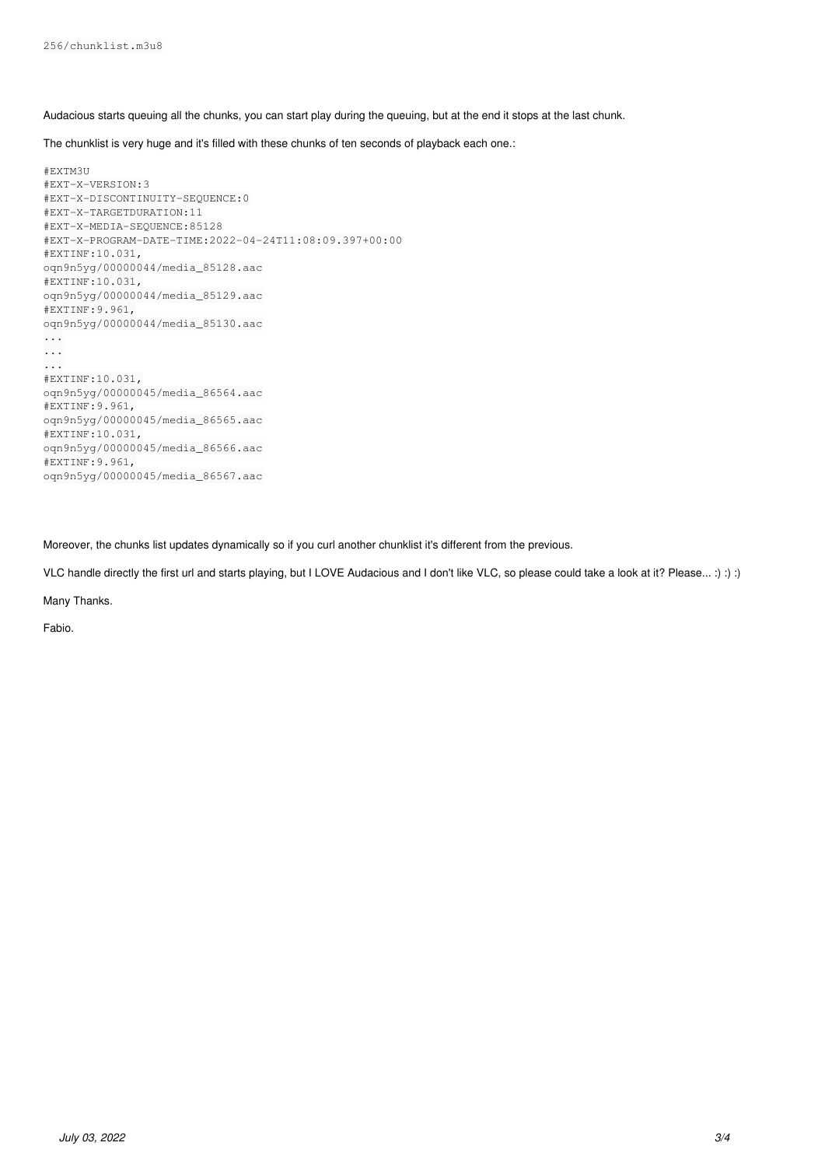Audacious starts queuing all the chunks, you can start play during the queuing, but at the end it stops at the last chunk.

The chunklist is very huge and it's filled with these chunks of ten seconds of playback each one.:

```
#EXTM3U
#EXT-X-VERSION:3
#EXT-X-DISCONTINUITY-SEQUENCE:0
#EXT-X-TARGETDURATION:11
#EXT-X-MEDIA-SEQUENCE:85128
#EXT-X-PROGRAM-DATE-TIME:2022-04-24T11:08:09.397+00:00
#EXTINF:10.031,
oqn9n5yg/00000044/media_85128.aac
#EXTINF:10.031,
oqn9n5yg/00000044/media_85129.aac
#EXTINF:9.961,
oqn9n5yg/00000044/media_85130.aac
...
...
...
#EXTINF:10.031,
oqn9n5yg/00000045/media_86564.aac
#EXTINF:9.961,
oqn9n5yg/00000045/media_86565.aac
#EXTINF:10.031,
oqn9n5yg/00000045/media_86566.aac
#EXTINF:9.961,
oqn9n5yg/00000045/media_86567.aac
```
Moreover, the chunks list updates dynamically so if you curl another chunklist it's different from the previous.

VLC handle directly the first url and starts playing, but I LOVE Audacious and I don't like VLC, so please could take a look at it? Please... :) :) :)

Many Thanks.

Fabio.